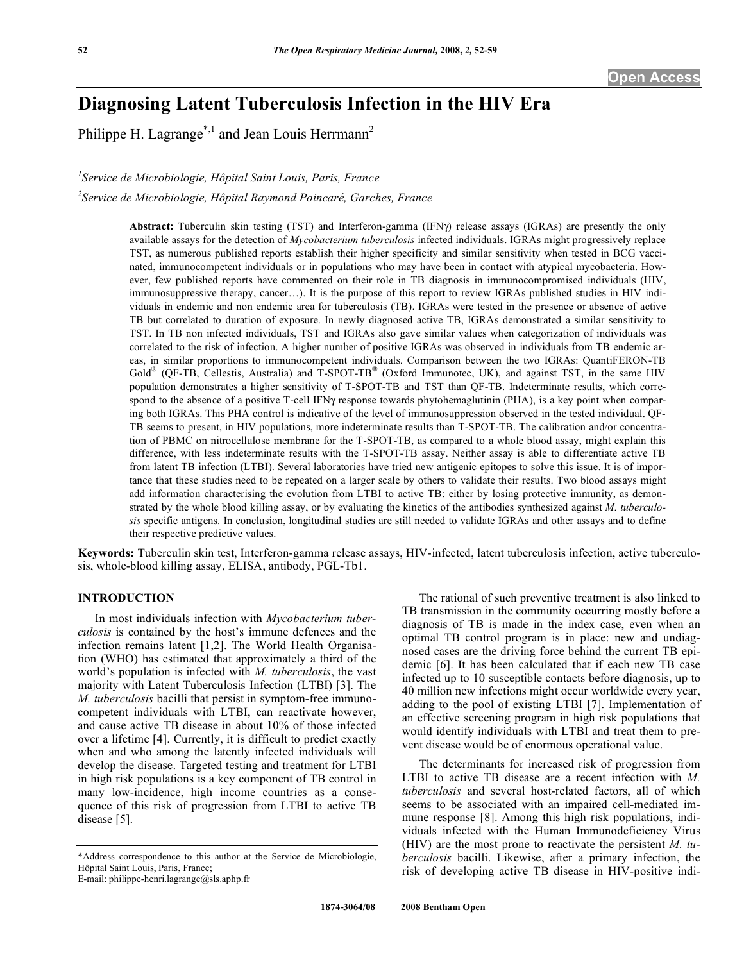# **Diagnosing Latent Tuberculosis Infection in the HIV Era**

Philippe H. Lagrange<sup>\*,1</sup> and Jean Louis Herrmann<sup>2</sup>

*1 Service de Microbiologie, Hôpital Saint Louis, Paris, France* 

*2 Service de Microbiologie, Hôpital Raymond Poincaré, Garches, France* 

Abstract: Tuberculin skin testing (TST) and Interferon-gamma (IFN $\gamma$ ) release assays (IGRAs) are presently the only available assays for the detection of *Mycobacterium tuberculosis* infected individuals. IGRAs might progressively replace TST, as numerous published reports establish their higher specificity and similar sensitivity when tested in BCG vaccinated, immunocompetent individuals or in populations who may have been in contact with atypical mycobacteria. However, few published reports have commented on their role in TB diagnosis in immunocompromised individuals (HIV, immunosuppressive therapy, cancer…). It is the purpose of this report to review IGRAs published studies in HIV individuals in endemic and non endemic area for tuberculosis (TB). IGRAs were tested in the presence or absence of active TB but correlated to duration of exposure. In newly diagnosed active TB, IGRAs demonstrated a similar sensitivity to TST. In TB non infected individuals, TST and IGRAs also gave similar values when categorization of individuals was correlated to the risk of infection. A higher number of positive IGRAs was observed in individuals from TB endemic areas, in similar proportions to immunocompetent individuals. Comparison between the two IGRAs: QuantiFERON-TB Gold<sup>®</sup> (QF-TB, Cellestis, Australia) and T-SPOT-TB<sup>®</sup> (Oxford Immunotec, UK), and against TST, in the same HIV population demonstrates a higher sensitivity of T-SPOT-TB and TST than QF-TB. Indeterminate results, which correspond to the absence of a positive T-cell IFN $\gamma$  response towards phytohemaglutinin (PHA), is a key point when comparing both IGRAs. This PHA control is indicative of the level of immunosuppression observed in the tested individual. QF-TB seems to present, in HIV populations, more indeterminate results than T-SPOT-TB. The calibration and/or concentration of PBMC on nitrocellulose membrane for the T-SPOT-TB, as compared to a whole blood assay, might explain this difference, with less indeterminate results with the T-SPOT-TB assay. Neither assay is able to differentiate active TB from latent TB infection (LTBI). Several laboratories have tried new antigenic epitopes to solve this issue. It is of importance that these studies need to be repeated on a larger scale by others to validate their results. Two blood assays might add information characterising the evolution from LTBI to active TB: either by losing protective immunity, as demonstrated by the whole blood killing assay, or by evaluating the kinetics of the antibodies synthesized against *M. tuberculosis* specific antigens. In conclusion, longitudinal studies are still needed to validate IGRAs and other assays and to define their respective predictive values.

**Keywords:** Tuberculin skin test, Interferon-gamma release assays, HIV-infected, latent tuberculosis infection, active tuberculosis, whole-blood killing assay, ELISA, antibody, PGL-Tb1.

#### **INTRODUCTION**

 In most individuals infection with *Mycobacterium tuberculosis* is contained by the host's immune defences and the infection remains latent [1,2]. The World Health Organisation (WHO) has estimated that approximately a third of the world's population is infected with *M. tuberculosis*, the vast majority with Latent Tuberculosis Infection (LTBI) [3]. The *M. tuberculosis* bacilli that persist in symptom-free immunocompetent individuals with LTBI, can reactivate however, and cause active TB disease in about 10% of those infected over a lifetime [4]. Currently, it is difficult to predict exactly when and who among the latently infected individuals will develop the disease. Targeted testing and treatment for LTBI in high risk populations is a key component of TB control in many low-incidence, high income countries as a consequence of this risk of progression from LTBI to active TB disease [5].

 The rational of such preventive treatment is also linked to TB transmission in the community occurring mostly before a diagnosis of TB is made in the index case, even when an optimal TB control program is in place: new and undiagnosed cases are the driving force behind the current TB epidemic [6]. It has been calculated that if each new TB case infected up to 10 susceptible contacts before diagnosis, up to 40 million new infections might occur worldwide every year, adding to the pool of existing LTBI [7]. Implementation of an effective screening program in high risk populations that would identify individuals with LTBI and treat them to prevent disease would be of enormous operational value.

 The determinants for increased risk of progression from LTBI to active TB disease are a recent infection with *M. tuberculosis* and several host-related factors, all of which seems to be associated with an impaired cell-mediated immune response [8]. Among this high risk populations, individuals infected with the Human Immunodeficiency Virus (HIV) are the most prone to reactivate the persistent *M. tuberculosis* bacilli. Likewise, after a primary infection, the risk of developing active TB disease in HIV-positive indi-

<sup>\*</sup>Address correspondence to this author at the Service de Microbiologie, Hôpital Saint Louis, Paris, France;

E-mail: philippe-henri.lagrange@sls.aphp.fr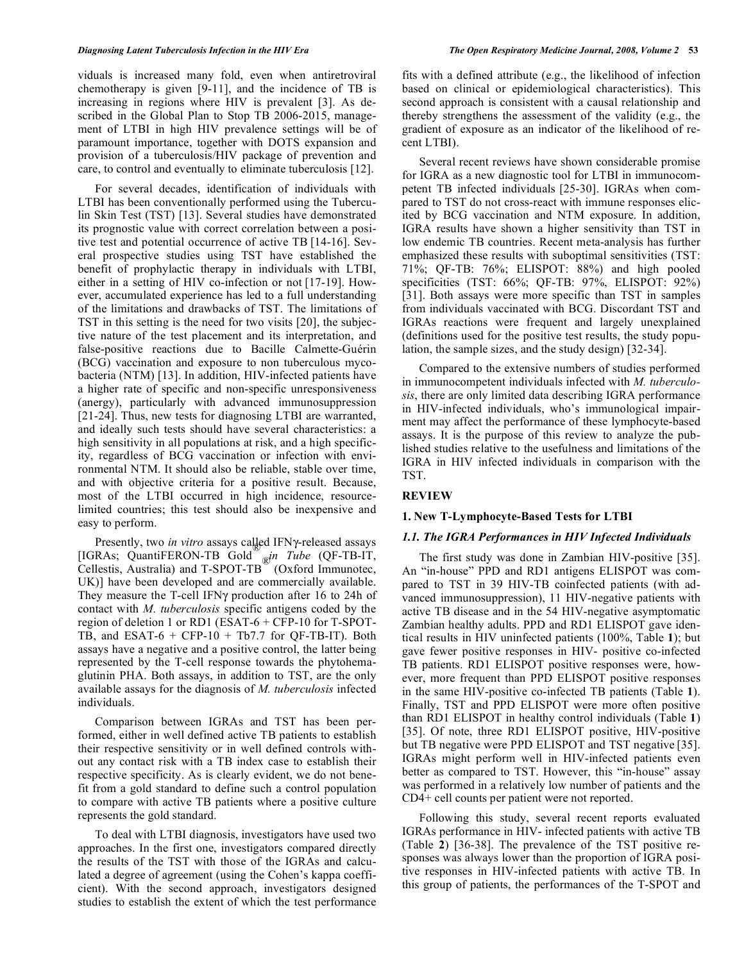viduals is increased many fold, even when antiretroviral chemotherapy is given [9-11], and the incidence of TB is increasing in regions where HIV is prevalent [3]. As described in the Global Plan to Stop TB 2006-2015, management of LTBI in high HIV prevalence settings will be of paramount importance, together with DOTS expansion and provision of a tuberculosis/HIV package of prevention and care, to control and eventually to eliminate tuberculosis [12].

 For several decades, identification of individuals with LTBI has been conventionally performed using the Tuberculin Skin Test (TST) [13]. Several studies have demonstrated its prognostic value with correct correlation between a positive test and potential occurrence of active TB [14-16]. Several prospective studies using TST have established the benefit of prophylactic therapy in individuals with LTBI, either in a setting of HIV co-infection or not [17-19]. However, accumulated experience has led to a full understanding of the limitations and drawbacks of TST. The limitations of TST in this setting is the need for two visits [20], the subjective nature of the test placement and its interpretation, and false-positive reactions due to Bacille Calmette-Guérin (BCG) vaccination and exposure to non tuberculous mycobacteria (NTM) [13]. In addition, HIV-infected patients have a higher rate of specific and non-specific unresponsiveness (anergy), particularly with advanced immunosuppression [21-24]. Thus, new tests for diagnosing LTBI are warranted, and ideally such tests should have several characteristics: a high sensitivity in all populations at risk, and a high specificity, regardless of BCG vaccination or infection with environmental NTM. It should also be reliable, stable over time, and with objective criteria for a positive result. Because, most of the LTBI occurred in high incidence, resourcelimited countries; this test should also be inexpensive and easy to perform.

Presently, two *in vitro* assays called IFNy-released assays [IGRAs; QuantiFERON-TB Gold® *in Tube* (QF-TB-IT, Cellestis, Australia) and T-SPOT-TB<sup>®</sup> (Oxford Immunotec, UK)] have been developed and are commercially available. They measure the T-cell IFN $\gamma$  production after 16 to 24h of contact with *M. tuberculosis* specific antigens coded by the region of deletion 1 or RD1 (ESAT-6 + CFP-10 for T-SPOT-TB, and ESAT- $6 + CFP-10 + Tb7.7$  for QF-TB-IT). Both assays have a negative and a positive control, the latter being represented by the T-cell response towards the phytohemaglutinin PHA. Both assays, in addition to TST, are the only available assays for the diagnosis of *M. tuberculosis* infected individuals.

 Comparison between IGRAs and TST has been performed, either in well defined active TB patients to establish their respective sensitivity or in well defined controls without any contact risk with a TB index case to establish their respective specificity. As is clearly evident, we do not benefit from a gold standard to define such a control population to compare with active TB patients where a positive culture represents the gold standard.

 To deal with LTBI diagnosis, investigators have used two approaches. In the first one, investigators compared directly the results of the TST with those of the IGRAs and calculated a degree of agreement (using the Cohen's kappa coefficient). With the second approach, investigators designed studies to establish the extent of which the test performance

fits with a defined attribute (e.g., the likelihood of infection based on clinical or epidemiological characteristics). This second approach is consistent with a causal relationship and thereby strengthens the assessment of the validity (e.g., the gradient of exposure as an indicator of the likelihood of recent LTBI).

 Several recent reviews have shown considerable promise for IGRA as a new diagnostic tool for LTBI in immunocompetent TB infected individuals [25-30]. IGRAs when compared to TST do not cross-react with immune responses elicited by BCG vaccination and NTM exposure. In addition, IGRA results have shown a higher sensitivity than TST in low endemic TB countries. Recent meta-analysis has further emphasized these results with suboptimal sensitivities (TST: 71%; QF-TB: 76%; ELISPOT: 88%) and high pooled specificities (TST: 66%; QF-TB: 97%, ELISPOT: 92%) [31]. Both assays were more specific than TST in samples from individuals vaccinated with BCG. Discordant TST and IGRAs reactions were frequent and largely unexplained (definitions used for the positive test results, the study population, the sample sizes, and the study design) [32-34].

 Compared to the extensive numbers of studies performed in immunocompetent individuals infected with *M. tuberculosis*, there are only limited data describing IGRA performance in HIV-infected individuals, who's immunological impairment may affect the performance of these lymphocyte-based assays. It is the purpose of this review to analyze the published studies relative to the usefulness and limitations of the IGRA in HIV infected individuals in comparison with the TST.

#### **REVIEW**

### **1. New T-Lymphocyte-Based Tests for LTBI**

#### *1.1. The IGRA Performances in HIV Infected Individuals*

 The first study was done in Zambian HIV-positive [35]. An "in-house" PPD and RD1 antigens ELISPOT was compared to TST in 39 HIV-TB coinfected patients (with advanced immunosuppression), 11 HIV-negative patients with active TB disease and in the 54 HIV-negative asymptomatic Zambian healthy adults. PPD and RD1 ELISPOT gave identical results in HIV uninfected patients (100%, Table **1**); but gave fewer positive responses in HIV- positive co-infected TB patients. RD1 ELISPOT positive responses were, however, more frequent than PPD ELISPOT positive responses in the same HIV-positive co-infected TB patients (Table **1**). Finally, TST and PPD ELISPOT were more often positive than RD1 ELISPOT in healthy control individuals (Table **1**) [35]. Of note, three RD1 ELISPOT positive, HIV-positive but TB negative were PPD ELISPOT and TST negative [35]. IGRAs might perform well in HIV-infected patients even better as compared to TST. However, this "in-house" assay was performed in a relatively low number of patients and the CD4+ cell counts per patient were not reported.

 Following this study, several recent reports evaluated IGRAs performance in HIV- infected patients with active TB (Table **2**) [36-38]. The prevalence of the TST positive responses was always lower than the proportion of IGRA positive responses in HIV-infected patients with active TB. In this group of patients, the performances of the T-SPOT and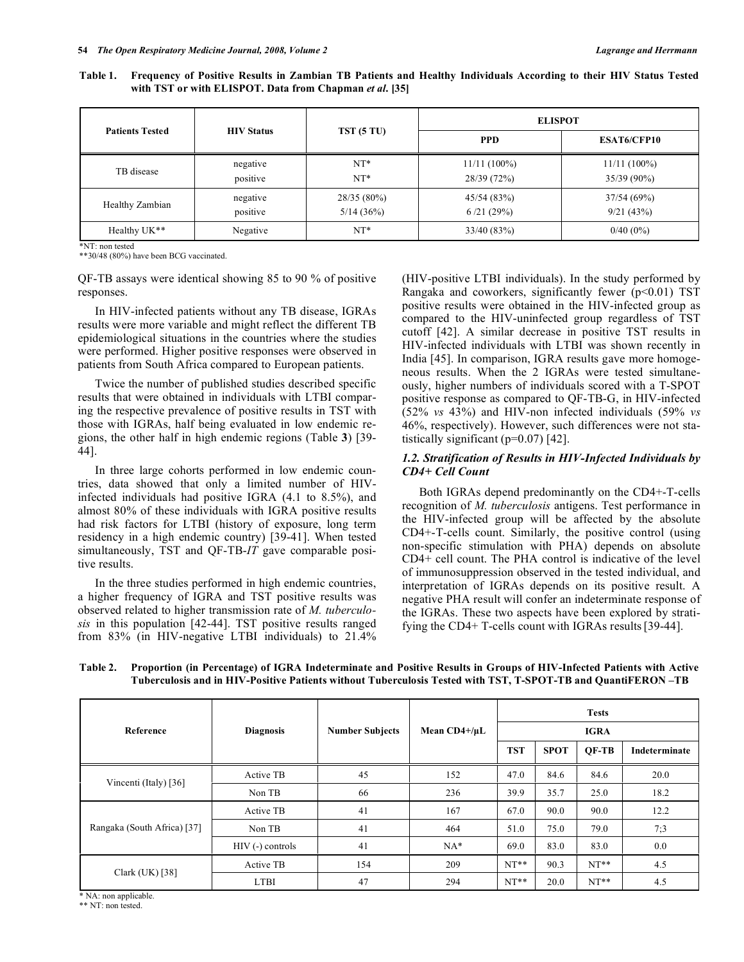| Table 1. Frequency of Positive Results in Zambian TB Patients and Healthy Individuals According to their HIV Status Tested |
|----------------------------------------------------------------------------------------------------------------------------|
| with TST or with ELISPOT. Data from Chapman <i>et al.</i> [35]                                                             |

|                        | <b>HIV Status</b>    |                            | <b>ELISPOT</b>                |                               |  |  |
|------------------------|----------------------|----------------------------|-------------------------------|-------------------------------|--|--|
| <b>Patients Tested</b> |                      | TST(5TU)                   | <b>PPD</b>                    | <b>ESAT6/CFP10</b>            |  |  |
| TB disease             | negative<br>positive | $NT*$<br>$NT*$             | $11/11(100\%)$<br>28/39 (72%) | $11/11(100\%)$<br>35/39 (90%) |  |  |
| Healthy Zambian        | negative<br>positive | $28/35(80\%)$<br>5/14(36%) | 45/54(83%)<br>6/21(29%)       | 37/54(69%)<br>9/21(43%)       |  |  |
| Healthy UK**           | Negative             | $NT*$                      | 33/40(83%)                    | $0/40(0\%)$                   |  |  |

\*NT: non tested

\*\*30/48 (80%) have been BCG vaccinated.

QF-TB assays were identical showing 85 to 90 % of positive responses.

 In HIV-infected patients without any TB disease, IGRAs results were more variable and might reflect the different TB epidemiological situations in the countries where the studies were performed. Higher positive responses were observed in patients from South Africa compared to European patients.

 Twice the number of published studies described specific results that were obtained in individuals with LTBI comparing the respective prevalence of positive results in TST with those with IGRAs, half being evaluated in low endemic regions, the other half in high endemic regions (Table **3**) [39- 44].

 In three large cohorts performed in low endemic countries, data showed that only a limited number of HIVinfected individuals had positive IGRA (4.1 to 8.5%), and almost 80% of these individuals with IGRA positive results had risk factors for LTBI (history of exposure, long term residency in a high endemic country) [39-41]. When tested simultaneously, TST and QF-TB-*IT* gave comparable positive results.

 In the three studies performed in high endemic countries, a higher frequency of IGRA and TST positive results was observed related to higher transmission rate of *M. tuberculosis* in this population [42-44]. TST positive results ranged from 83% (in HIV-negative LTBI individuals) to 21.4% (HIV-positive LTBI individuals). In the study performed by Rangaka and coworkers, significantly fewer  $(p<0.01)$  TST positive results were obtained in the HIV-infected group as compared to the HIV-uninfected group regardless of TST cutoff [42]. A similar decrease in positive TST results in HIV-infected individuals with LTBI was shown recently in India [45]. In comparison, IGRA results gave more homogeneous results. When the 2 IGRAs were tested simultaneously, higher numbers of individuals scored with a T-SPOT positive response as compared to QF-TB-G, in HIV-infected (52% *vs* 43%) and HIV-non infected individuals (59% *vs* 46%, respectively). However, such differences were not statistically significant  $(p=0.07)$  [42].

## *1.2. Stratification of Results in HIV-Infected Individuals by CD4+ Cell Count*

 Both IGRAs depend predominantly on the CD4+-T-cells recognition of *M. tuberculosis* antigens. Test performance in the HIV-infected group will be affected by the absolute CD4+-T-cells count. Similarly, the positive control (using non-specific stimulation with PHA) depends on absolute CD4+ cell count. The PHA control is indicative of the level of immunosuppression observed in the tested individual, and interpretation of IGRAs depends on its positive result. A negative PHA result will confer an indeterminate response of the IGRAs. These two aspects have been explored by stratifying the CD4+ T-cells count with IGRAs results[39-44].

| Table 2. Proportion (in Percentage) of IGRA Indeterminate and Positive Results in Groups of HIV-Infected Patients with Active |
|-------------------------------------------------------------------------------------------------------------------------------|
| Tuberculosis and in HIV-Positive Patients without Tuberculosis Tested with TST, T-SPOT-TB and QuantiFERON-TB                  |

|                             | <b>Diagnosis</b> | <b>Number Subjects</b> | Mean $CD4+/\mu L$ | <b>Tests</b> |             |              |               |
|-----------------------------|------------------|------------------------|-------------------|--------------|-------------|--------------|---------------|
| Reference                   |                  |                        |                   | <b>IGRA</b>  |             |              |               |
|                             |                  |                        |                   | <b>TST</b>   | <b>SPOT</b> | <b>OF-TB</b> | Indeterminate |
| Vincenti (Italy) [36]       | Active TB        | 45                     | 152               | 47.0         | 84.6        | 84.6         | 20.0          |
|                             | Non TB           | 66                     | 236               | 39.9         | 35.7        | 25.0         | 18.2          |
|                             | Active TB        | 41                     | 167               | 67.0         | 90.0        | 90.0         | 12.2          |
| Rangaka (South Africa) [37] | Non TB           | 41                     | 464               | 51.0         | 75.0        | 79.0         | 7:3           |
|                             | HIV (-) controls | 41                     | $NA*$             | 69.0         | 83.0        | 83.0         | 0.0           |
|                             | Active TB        | 154                    | 209               | $NT**$       | 90.3        | $NT**$       | 4.5           |
| Clark $(UK)$ [38]           | <b>LTBI</b>      | 47                     | 294               | $NT**$       | 20.0        | $NT**$       | 4.5           |

\* NA: non applicable.

\*\* NT: non tested.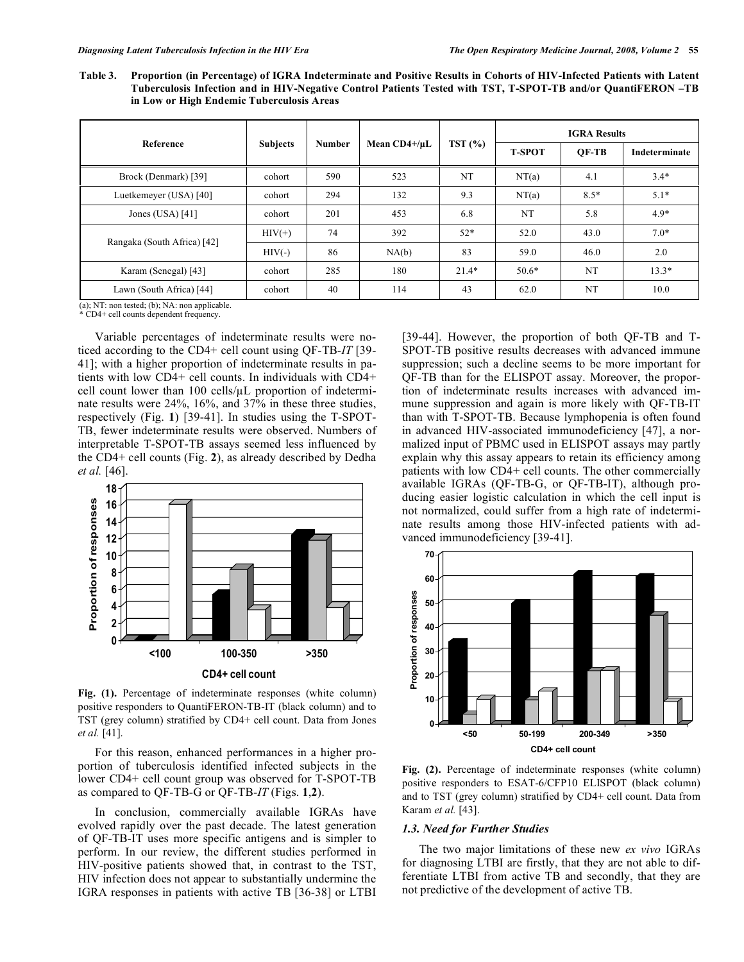**Table 3. Proportion (in Percentage) of IGRA Indeterminate and Positive Results in Cohorts of HIV-Infected Patients with Latent Tuberculosis Infection and in HIV-Negative Control Patients Tested with TST, T-SPOT-TB and/or QuantiFERON –TB in Low or High Endemic Tuberculosis Areas** 

|                             | <b>Subjects</b> | <b>Number</b> | Mean $CD4+/\mu L$ | TST(%)  | <b>IGRA Results</b> |        |               |  |
|-----------------------------|-----------------|---------------|-------------------|---------|---------------------|--------|---------------|--|
| Reference                   |                 |               |                   |         | <b>T-SPOT</b>       | OF-TB  | Indeterminate |  |
| Brock (Denmark) [39]        | cohort          | 590           | 523               | NT      | NT(a)               | 4.1    | $3.4*$        |  |
| Luetkemeyer (USA) [40]      | cohort          | 294           | 132               | 9.3     | NT(a)               | $8.5*$ | $5.1*$        |  |
| Jones (USA) $[41]$          | cohort          | 201           | 453               | 6.8     | NT                  | 5.8    | $4.9*$        |  |
| Rangaka (South Africa) [42] | $HIV(+)$        | 74            | 392               | $52*$   | 52.0                | 43.0   | $7.0*$        |  |
|                             | $HIV(-)$        | 86            | NA(b)             | 83      | 59.0                | 46.0   | 2.0           |  |
| Karam (Senegal) [43]        | cohort          | 285           | 180               | $21.4*$ | $50.6*$             | NT     | $13.3*$       |  |
| Lawn (South Africa) [44]    | cohort          | 40            | 114               | 43      | 62.0                | NT     | 10.0          |  |

(a); NT: non tested; (b); NA: non applicable. \* CD4+ cell counts dependent frequency.

 Variable percentages of indeterminate results were noticed according to the CD4+ cell count using QF-TB-*IT* [39- 41]; with a higher proportion of indeterminate results in patients with low CD4+ cell counts. In individuals with CD4+ cell count lower than  $100$  cells/ $\mu$ L proportion of indeterminate results were 24%, 16%, and 37% in these three studies, respectively (Fig. **1**) [39-41]. In studies using the T-SPOT-TB, fewer indeterminate results were observed. Numbers of interpretable T-SPOT-TB assays seemed less influenced by the CD4+ cell counts (Fig. **2**), as already described by Dedha *et al.* [46].



**Fig. (1).** Percentage of indeterminate responses (white column) positive responders to QuantiFERON-TB-IT (black column) and to TST (grey column) stratified by CD4+ cell count. Data from Jones *et al.* [41].

 For this reason, enhanced performances in a higher proportion of tuberculosis identified infected subjects in the lower CD4+ cell count group was observed for T-SPOT-TB as compared to QF-TB-G or QF-TB-*IT* (Figs. **1**,**2**).

 In conclusion, commercially available IGRAs have evolved rapidly over the past decade. The latest generation of QF-TB-IT uses more specific antigens and is simpler to perform. In our review, the different studies performed in HIV-positive patients showed that, in contrast to the TST, HIV infection does not appear to substantially undermine the IGRA responses in patients with active TB [36-38] or LTBI [39-44]. However, the proportion of both QF-TB and T-SPOT-TB positive results decreases with advanced immune suppression; such a decline seems to be more important for QF-TB than for the ELISPOT assay. Moreover, the proportion of indeterminate results increases with advanced immune suppression and again is more likely with QF-TB-IT than with T-SPOT-TB. Because lymphopenia is often found in advanced HIV-associated immunodeficiency [47], a normalized input of PBMC used in ELISPOT assays may partly explain why this assay appears to retain its efficiency among patients with low CD4+ cell counts. The other commercially available IGRAs (QF-TB-G, or QF-TB-IT), although producing easier logistic calculation in which the cell input is not normalized, could suffer from a high rate of indeterminate results among those HIV-infected patients with advanced immunodeficiency [39-41].



**Fig. (2).** Percentage of indeterminate responses (white column) positive responders to ESAT-6/CFP10 ELISPOT (black column) and to TST (grey column) stratified by CD4+ cell count. Data from Karam *et al.* [43].

## *1.3. Need for Further Studies*

 The two major limitations of these new *ex vivo* IGRAs for diagnosing LTBI are firstly, that they are not able to differentiate LTBI from active TB and secondly, that they are not predictive of the development of active TB.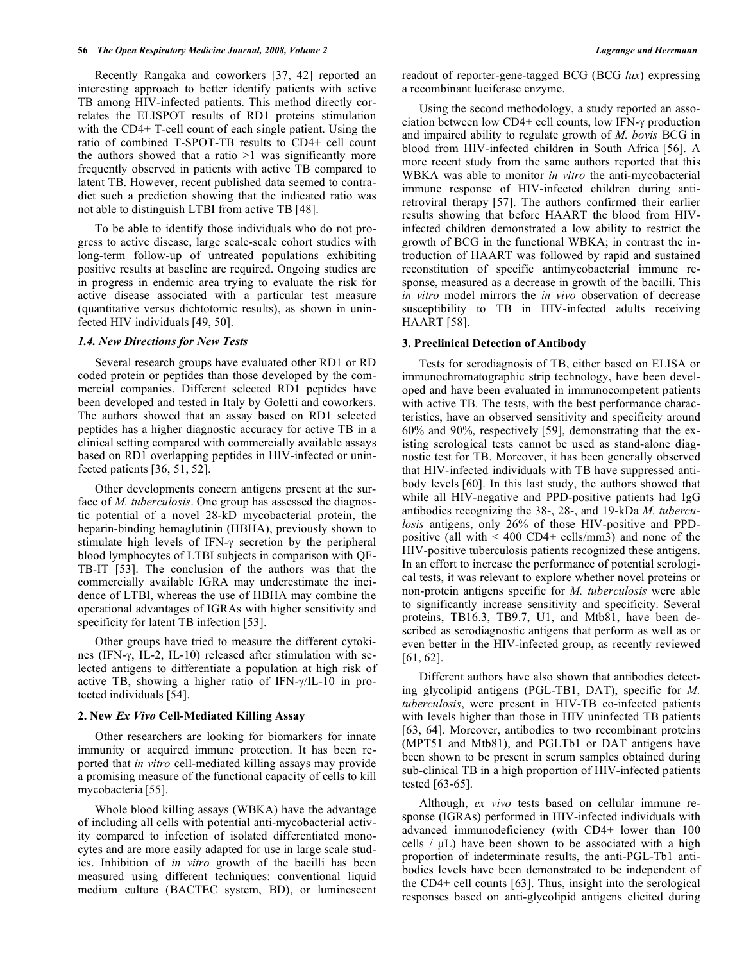Recently Rangaka and coworkers [37, 42] reported an interesting approach to better identify patients with active TB among HIV-infected patients. This method directly correlates the ELISPOT results of RD1 proteins stimulation with the CD4+ T-cell count of each single patient. Using the ratio of combined T-SPOT-TB results to CD4+ cell count the authors showed that a ratio  $>1$  was significantly more frequently observed in patients with active TB compared to latent TB. However, recent published data seemed to contradict such a prediction showing that the indicated ratio was not able to distinguish LTBI from active TB [48].

 To be able to identify those individuals who do not progress to active disease, large scale-scale cohort studies with long-term follow-up of untreated populations exhibiting positive results at baseline are required. Ongoing studies are in progress in endemic area trying to evaluate the risk for active disease associated with a particular test measure (quantitative versus dichtotomic results), as shown in uninfected HIV individuals [49, 50].

#### *1.4. New Directions for New Tests*

 Several research groups have evaluated other RD1 or RD coded protein or peptides than those developed by the commercial companies. Different selected RD1 peptides have been developed and tested in Italy by Goletti and coworkers. The authors showed that an assay based on RD1 selected peptides has a higher diagnostic accuracy for active TB in a clinical setting compared with commercially available assays based on RD1 overlapping peptides in HIV-infected or uninfected patients [36, 51, 52].

 Other developments concern antigens present at the surface of *M. tuberculosis*. One group has assessed the diagnostic potential of a novel 28-kD mycobacterial protein, the heparin-binding hemaglutinin (HBHA), previously shown to stimulate high levels of IFN- $\gamma$  secretion by the peripheral blood lymphocytes of LTBI subjects in comparison with QF-TB-IT [53]. The conclusion of the authors was that the commercially available IGRA may underestimate the incidence of LTBI, whereas the use of HBHA may combine the operational advantages of IGRAs with higher sensitivity and specificity for latent TB infection [53].

 Other groups have tried to measure the different cytokines (IFN- $\gamma$ , IL-2, IL-10) released after stimulation with selected antigens to differentiate a population at high risk of active TB, showing a higher ratio of IFN- $\gamma$ /IL-10 in protected individuals [54].

## **2. New** *Ex Vivo* **Cell-Mediated Killing Assay**

 Other researchers are looking for biomarkers for innate immunity or acquired immune protection. It has been reported that *in vitro* cell-mediated killing assays may provide a promising measure of the functional capacity of cells to kill mycobacteria [55].

 Whole blood killing assays (WBKA) have the advantage of including all cells with potential anti-mycobacterial activity compared to infection of isolated differentiated monocytes and are more easily adapted for use in large scale studies. Inhibition of *in vitro* growth of the bacilli has been measured using different techniques: conventional liquid medium culture (BACTEC system, BD), or luminescent readout of reporter-gene-tagged BCG (BCG *lux*) expressing a recombinant luciferase enzyme.

 Using the second methodology, a study reported an association between low  $CD4+$  cell counts, low IFN- $\gamma$  production and impaired ability to regulate growth of *M. bovis* BCG in blood from HIV-infected children in South Africa [56]. A more recent study from the same authors reported that this WBKA was able to monitor *in vitro* the anti-mycobacterial immune response of HIV-infected children during antiretroviral therapy [57]. The authors confirmed their earlier results showing that before HAART the blood from HIVinfected children demonstrated a low ability to restrict the growth of BCG in the functional WBKA; in contrast the introduction of HAART was followed by rapid and sustained reconstitution of specific antimycobacterial immune response, measured as a decrease in growth of the bacilli. This *in vitro* model mirrors the *in vivo* observation of decrease susceptibility to TB in HIV-infected adults receiving HAART [58].

#### **3. Preclinical Detection of Antibody**

 Tests for serodiagnosis of TB, either based on ELISA or immunochromatographic strip technology, have been developed and have been evaluated in immunocompetent patients with active TB. The tests, with the best performance characteristics, have an observed sensitivity and specificity around 60% and 90%, respectively [59], demonstrating that the existing serological tests cannot be used as stand-alone diagnostic test for TB. Moreover, it has been generally observed that HIV-infected individuals with TB have suppressed antibody levels [60]. In this last study, the authors showed that while all HIV-negative and PPD-positive patients had IgG antibodies recognizing the 38-, 28-, and 19-kDa *M. tuberculosis* antigens, only 26% of those HIV-positive and PPDpositive (all with < 400 CD4+ cells/mm3) and none of the HIV-positive tuberculosis patients recognized these antigens. In an effort to increase the performance of potential serological tests, it was relevant to explore whether novel proteins or non-protein antigens specific for *M. tuberculosis* were able to significantly increase sensitivity and specificity. Several proteins, TB16.3, TB9.7, U1, and Mtb81, have been described as serodiagnostic antigens that perform as well as or even better in the HIV-infected group, as recently reviewed [61, 62].

 Different authors have also shown that antibodies detecting glycolipid antigens (PGL-TB1, DAT), specific for *M. tuberculosis*, were present in HIV-TB co-infected patients with levels higher than those in HIV uninfected TB patients [63, 64]. Moreover, antibodies to two recombinant proteins (MPT51 and Mtb81), and PGLTb1 or DAT antigens have been shown to be present in serum samples obtained during sub-clinical TB in a high proportion of HIV-infected patients tested [63-65].

 Although, *ex vivo* tests based on cellular immune response (IGRAs) performed in HIV-infected individuals with advanced immunodeficiency (with CD4+ lower than 100 cells  $/\mu L$ ) have been shown to be associated with a high proportion of indeterminate results, the anti-PGL-Tb1 antibodies levels have been demonstrated to be independent of the CD4+ cell counts [63]. Thus, insight into the serological responses based on anti-glycolipid antigens elicited during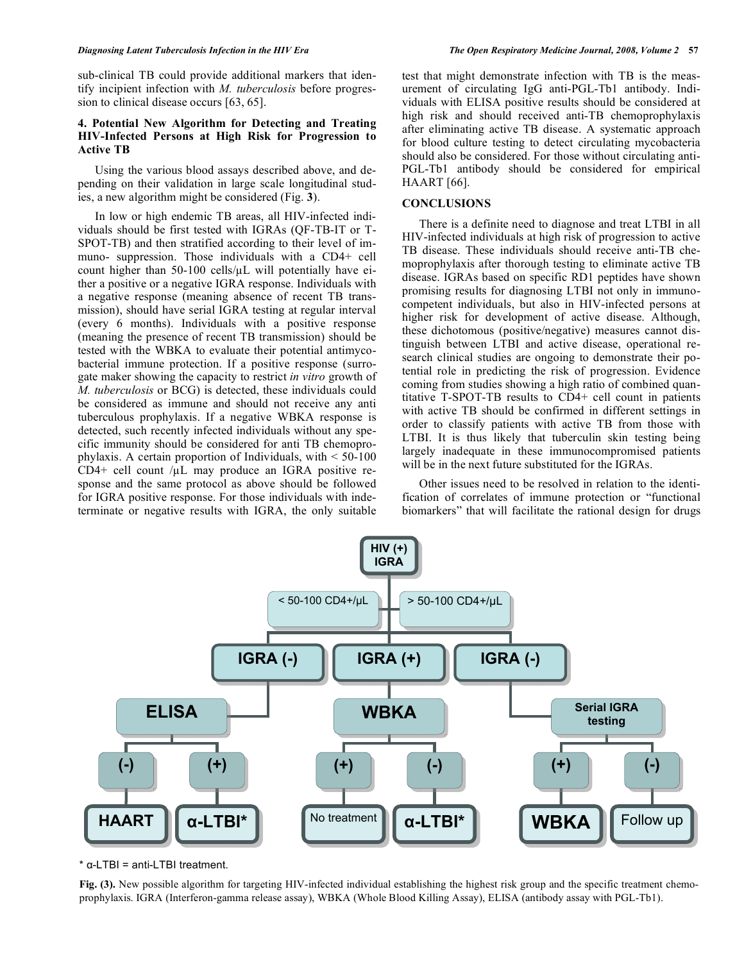sub-clinical TB could provide additional markers that identify incipient infection with *M. tuberculosis* before progression to clinical disease occurs [63, 65].

## **4. Potential New Algorithm for Detecting and Treating HIV-Infected Persons at High Risk for Progression to Active TB**

 Using the various blood assays described above, and depending on their validation in large scale longitudinal studies, a new algorithm might be considered (Fig. **3**).

 In low or high endemic TB areas, all HIV-infected individuals should be first tested with IGRAs (QF-TB-IT or T-SPOT-TB) and then stratified according to their level of immuno- suppression. Those individuals with a CD4+ cell count higher than  $50-100$  cells/ $\mu$ L will potentially have either a positive or a negative IGRA response. Individuals with a negative response (meaning absence of recent TB transmission), should have serial IGRA testing at regular interval (every 6 months). Individuals with a positive response (meaning the presence of recent TB transmission) should be tested with the WBKA to evaluate their potential antimycobacterial immune protection. If a positive response (surrogate maker showing the capacity to restrict *in vitro* growth of *M. tuberculosis* or BCG) is detected, these individuals could be considered as immune and should not receive any anti tuberculous prophylaxis. If a negative WBKA response is detected, such recently infected individuals without any specific immunity should be considered for anti TB chemoprophylaxis. A certain proportion of Individuals, with < 50-100 CD4+ cell count  $\mu$ L may produce an IGRA positive response and the same protocol as above should be followed for IGRA positive response. For those individuals with indeterminate or negative results with IGRA, the only suitable

test that might demonstrate infection with TB is the measurement of circulating IgG anti-PGL-Tb1 antibody. Individuals with ELISA positive results should be considered at high risk and should received anti-TB chemoprophylaxis after eliminating active TB disease. A systematic approach for blood culture testing to detect circulating mycobacteria should also be considered. For those without circulating anti-PGL-Tb1 antibody should be considered for empirical HAART [66].

# **CONCLUSIONS**

 There is a definite need to diagnose and treat LTBI in all HIV-infected individuals at high risk of progression to active TB disease. These individuals should receive anti-TB chemoprophylaxis after thorough testing to eliminate active TB disease. IGRAs based on specific RD1 peptides have shown promising results for diagnosing LTBI not only in immunocompetent individuals, but also in HIV-infected persons at higher risk for development of active disease. Although, these dichotomous (positive/negative) measures cannot distinguish between LTBI and active disease, operational research clinical studies are ongoing to demonstrate their potential role in predicting the risk of progression. Evidence coming from studies showing a high ratio of combined quantitative T-SPOT-TB results to CD4+ cell count in patients with active TB should be confirmed in different settings in order to classify patients with active TB from those with LTBI. It is thus likely that tuberculin skin testing being largely inadequate in these immunocompromised patients will be in the next future substituted for the IGRAs.

 Other issues need to be resolved in relation to the identification of correlates of immune protection or "functional biomarkers" that will facilitate the rational design for drugs



 $*$   $\alpha$ -LTBI = anti-LTBI treatment.

**Fig. (3).** New possible algorithm for targeting HIV-infected individual establishing the highest risk group and the specific treatment chemoprophylaxis. IGRA (Interferon-gamma release assay), WBKA (Whole Blood Killing Assay), ELISA (antibody assay with PGL-Tb1).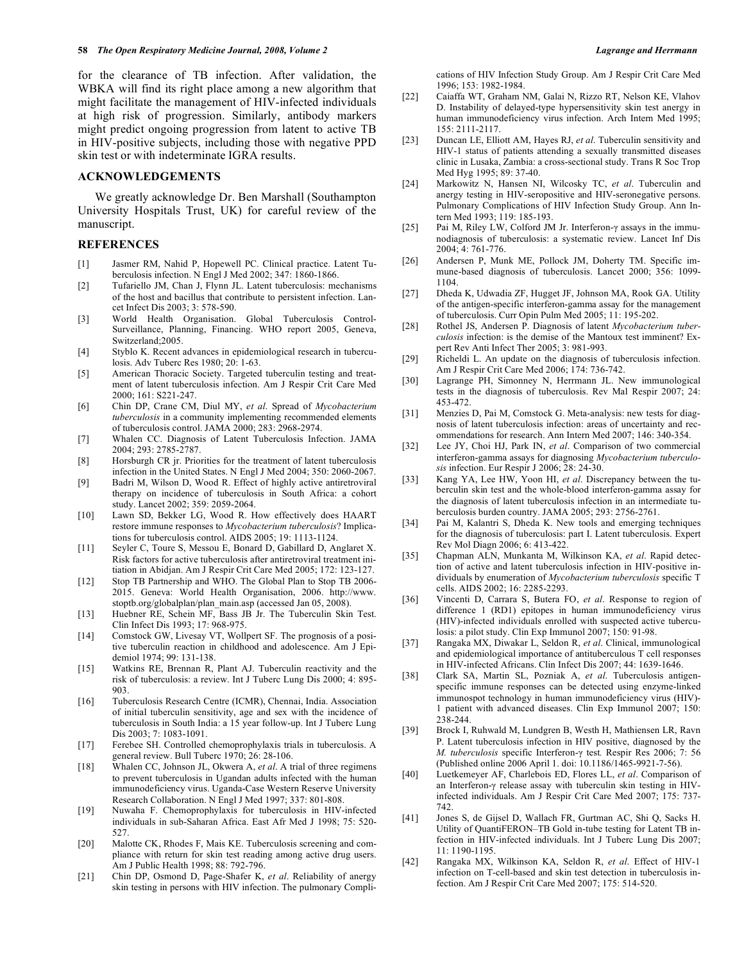for the clearance of TB infection. After validation, the WBKA will find its right place among a new algorithm that might facilitate the management of HIV-infected individuals at high risk of progression. Similarly, antibody markers might predict ongoing progression from latent to active TB in HIV-positive subjects, including those with negative PPD skin test or with indeterminate IGRA results.

#### **ACKNOWLEDGEMENTS**

 We greatly acknowledge Dr. Ben Marshall (Southampton University Hospitals Trust, UK) for careful review of the manuscript.

### **REFERENCES**

- [1] Jasmer RM, Nahid P, Hopewell PC. Clinical practice. Latent Tuberculosis infection. N Engl J Med 2002; 347: 1860-1866.
- [2] Tufariello JM, Chan J, Flynn JL. Latent tuberculosis: mechanisms of the host and bacillus that contribute to persistent infection. Lancet Infect Dis 2003; 3: 578-590.
- [3] World Health Organisation. Global Tuberculosis Control-Surveillance, Planning, Financing. WHO report 2005, Geneva, Switzerland;2005.
- [4] Styblo K. Recent advances in epidemiological research in tuberculosis. Adv Tuberc Res 1980; 20: 1-63.
- [5] American Thoracic Society. Targeted tuberculin testing and treatment of latent tuberculosis infection. Am J Respir Crit Care Med 2000; 161: S221-247.
- [6] Chin DP, Crane CM, Diul MY, *et al*. Spread of *Mycobacterium tuberculosis* in a community implementing recommended elements of tuberculosis control. JAMA 2000; 283: 2968-2974.
- [7] Whalen CC. Diagnosis of Latent Tuberculosis Infection. JAMA 2004; 293: 2785-2787.
- [8] Horsburgh CR jr. Priorities for the treatment of latent tuberculosis infection in the United States. N Engl J Med 2004; 350: 2060-2067.
- [9] Badri M, Wilson D, Wood R. Effect of highly active antiretroviral therapy on incidence of tuberculosis in South Africa: a cohort study. Lancet 2002; 359: 2059-2064.
- [10] Lawn SD, Bekker LG, Wood R. How effectively does HAART restore immune responses to *Mycobacterium tuberculosis*? Implications for tuberculosis control. AIDS 2005; 19: 1113-1124.
- [11] Seyler C, Toure S, Messou E, Bonard D, Gabillard D, Anglaret X. Risk factors for active tuberculosis after antiretroviral treatment initiation in Abidjan. Am J Respir Crit Care Med 2005; 172: 123-127.
- [12] Stop TB Partnership and WHO. The Global Plan to Stop TB 2006- 2015. Geneva: World Health Organisation, 2006. http://www. stoptb.org/globalplan/plan\_main.asp (accessed Jan 05, 2008).
- [13] Huebner RE, Schein MF, Bass JB Jr. The Tuberculin Skin Test. Clin Infect Dis 1993; 17: 968-975.
- [14] Comstock GW, Livesay VT, Wollpert SF. The prognosis of a positive tuberculin reaction in childhood and adolescence. Am J Epidemiol 1974; 99: 131-138.
- [15] Watkins RE, Brennan R, Plant AJ. Tuberculin reactivity and the risk of tuberculosis: a review. Int J Tuberc Lung Dis 2000; 4: 895- 903.
- [16] Tuberculosis Research Centre (ICMR), Chennai, India. Association of initial tuberculin sensitivity, age and sex with the incidence of tuberculosis in South India: a 15 year follow-up. Int J Tuberc Lung Dis 2003; 7: 1083-1091.
- [17] Ferebee SH. Controlled chemoprophylaxis trials in tuberculosis. A general review. Bull Tuberc 1970; 26: 28-106.
- [18] Whalen CC, Johnson JL, Okwera A, *et al*. A trial of three regimens to prevent tuberculosis in Ugandan adults infected with the human immunodeficiency virus. Uganda-Case Western Reserve University Research Collaboration. N Engl J Med 1997; 337: 801-808.
- [19] Nuwaha F. Chemoprophylaxis for tuberculosis in HIV-infected individuals in sub-Saharan Africa. East Afr Med J 1998; 75: 520- 527.
- [20] Malotte CK, Rhodes F, Mais KE. Tuberculosis screening and compliance with return for skin test reading among active drug users. Am J Public Health 1998; 88: 792-796.
- [21] Chin DP, Osmond D, Page-Shafer K, *et al*. Reliability of anergy skin testing in persons with HIV infection. The pulmonary Compli-

cations of HIV Infection Study Group. Am J Respir Crit Care Med 1996; 153: 1982-1984.

- [22] Caiaffa WT, Graham NM, Galai N, Rizzo RT, Nelson KE, Vlahov D. Instability of delayed-type hypersensitivity skin test anergy in human immunodeficiency virus infection. Arch Intern Med 1995; 155: 2111-2117.
- [23] Duncan LE, Elliott AM, Hayes RJ, *et al*. Tuberculin sensitivity and HIV-1 status of patients attending a sexually transmitted diseases clinic in Lusaka, Zambia: a cross-sectional study. Trans R Soc Trop Med Hyg 1995; 89: 37-40.
- [24] Markowitz N, Hansen NI, Wilcosky TC, *et al*. Tuberculin and anergy testing in HIV-seropositive and HIV-seronegative persons. Pulmonary Complications of HIV Infection Study Group. Ann Intern Med 1993; 119: 185-193.
- [25] Pai M, Riley LW, Colford JM Jr. Interferon- $\gamma$  assays in the immunodiagnosis of tuberculosis: a systematic review. Lancet Inf Dis 2004; 4: 761-776.
- [26] Andersen P, Munk ME, Pollock JM, Doherty TM. Specific immune-based diagnosis of tuberculosis. Lancet 2000; 356: 1099- 1104.
- [27] Dheda K, Udwadia ZF, Hugget JF, Johnson MA, Rook GA. Utility of the antigen-specific interferon-gamma assay for the management of tuberculosis. Curr Opin Pulm Med 2005; 11: 195-202.
- [28] Rothel JS, Andersen P. Diagnosis of latent *Mycobacterium tuberculosis* infection: is the demise of the Mantoux test imminent? Expert Rev Anti Infect Ther 2005; 3: 981-993.
- [29] Richeldi L. An update on the diagnosis of tuberculosis infection. Am J Respir Crit Care Med 2006; 174: 736-742.
- [30] Lagrange PH, Simonney N, Herrmann JL. New immunological tests in the diagnosis of tuberculosis. Rev Mal Respir 2007; 24: 453-472.
- [31] Menzies D, Pai M, Comstock G. Meta-analysis: new tests for diagnosis of latent tuberculosis infection: areas of uncertainty and recommendations for research. Ann Intern Med 2007; 146: 340-354.
- [32] Lee JY, Choi HJ, Park IN, *et al*. Comparison of two commercial interferon-gamma assays for diagnosing *Mycobacterium tuberculosis* infection. Eur Respir J 2006; 28: 24-30.
- [33] Kang YA, Lee HW, Yoon HI, *et al*. Discrepancy between the tuberculin skin test and the whole-blood interferon-gamma assay for the diagnosis of latent tuberculosis infection in an intermediate tuberculosis burden country. JAMA 2005; 293: 2756-2761.
- [34] Pai M, Kalantri S, Dheda K. New tools and emerging techniques for the diagnosis of tuberculosis: part I. Latent tuberculosis. Expert Rev Mol Diagn 2006; 6: 413-422.
- [35] Chapman ALN, Munkanta M, Wilkinson KA, *et al*. Rapid detection of active and latent tuberculosis infection in HIV-positive individuals by enumeration of *Mycobacterium tuberculosis* specific T cells. AIDS 2002; 16: 2285-2293.
- [36] Vincenti D, Carrara S, Butera FO, *et al*. Response to region of difference 1 (RD1) epitopes in human immunodeficiency virus (HIV)-infected individuals enrolled with suspected active tuberculosis: a pilot study. Clin Exp Immunol 2007; 150: 91-98.
- [37] Rangaka MX, Diwakar L, Seldon R, *et al*. Clinical, immunological and epidemiological importance of antituberculous T cell responses in HIV-infected Africans. Clin Infect Dis 2007; 44: 1639-1646.
- [38] Clark SA, Martin SL, Pozniak A, *et al*. Tuberculosis antigenspecific immune responses can be detected using enzyme-linked immunospot technology in human immunodeficiency virus (HIV)- 1 patient with advanced diseases. Clin Exp Immunol 2007; 150: 238-244.
- [39] Brock I, Ruhwald M, Lundgren B, Westh H, Mathiensen LR, Ravn P. Latent tuberculosis infection in HIV positive, diagnosed by the *M. tuberculosis specific Interferon-γ test. Respir Res 2006; 7: 56* (Published online 2006 April 1. doi: 10.1186/1465-9921-7-56).
- [40] Luetkemeyer AF, Charlebois ED, Flores LL, *et al*. Comparison of an Interferon- $\gamma$  release assay with tuberculin skin testing in HIVinfected individuals. Am J Respir Crit Care Med 2007; 175: 737- 742.
- [41] Jones S, de Gijsel D, Wallach FR, Gurtman AC, Shi Q, Sacks H. Utility of QuantiFERON–TB Gold in-tube testing for Latent TB infection in HIV-infected individuals. Int J Tuberc Lung Dis 2007; 11: 1190-1195.
- [42] Rangaka MX, Wilkinson KA, Seldon R, *et al*. Effect of HIV-1 infection on T-cell-based and skin test detection in tuberculosis infection. Am J Respir Crit Care Med 2007; 175: 514-520.